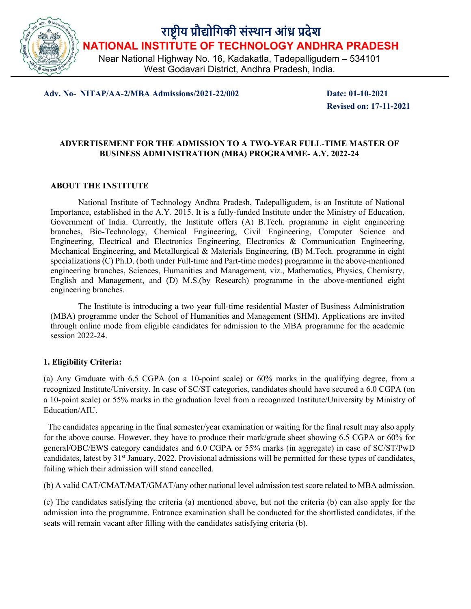

राष्ट्रीय प्रौद्योगिकी संस्थान आंध्र प्रदेश NATIONAL INSTITUTE OF TECHNOLOGY ANDHRA PRADESH

Near National Highway No. 16, Kadakatla, Tadepalligudem – 534101 West Godavari District, Andhra Pradesh, India.

Adv. No- NITAP/AA-2/MBA Admissions/2021-22/002 Date: 01-10-2021

Revised on: 17-11-2021

# ADVERTISEMENT FOR THE ADMISSION TO A TWO-YEAR FULL-TIME MASTER OF BUSINESS ADMINISTRATION (MBA) PROGRAMME- A.Y. 2022-24

### ABOUT THE INSTITUTE

National Institute of Technology Andhra Pradesh, Tadepalligudem, is an Institute of National Importance, established in the A.Y. 2015. It is a fully-funded Institute under the Ministry of Education, Government of India. Currently, the Institute offers (A) B.Tech. programme in eight engineering branches, Bio-Technology, Chemical Engineering, Civil Engineering, Computer Science and Engineering, Electrical and Electronics Engineering, Electronics & Communication Engineering, Mechanical Engineering, and Metallurgical & Materials Engineering, (B) M.Tech. programme in eight specializations (C) Ph.D. (both under Full-time and Part-time modes) programme in the above-mentioned engineering branches, Sciences, Humanities and Management, viz., Mathematics, Physics, Chemistry, English and Management, and (D) M.S.(by Research) programme in the above-mentioned eight engineering branches.

The Institute is introducing a two year full-time residential Master of Business Administration (MBA) programme under the School of Humanities and Management (SHM). Applications are invited through online mode from eligible candidates for admission to the MBA programme for the academic session 2022-24.

### 1. Eligibility Criteria:

(a) Any Graduate with 6.5 CGPA (on a 10-point scale) or 60% marks in the qualifying degree, from a recognized Institute/University. In case of SC/ST categories, candidates should have secured a 6.0 CGPA (on a 10-point scale) or 55% marks in the graduation level from a recognized Institute/University by Ministry of Education/AIU.

 The candidates appearing in the final semester/year examination or waiting for the final result may also apply for the above course. However, they have to produce their mark/grade sheet showing 6.5 CGPA or 60% for general/OBC/EWS category candidates and 6.0 CGPA or 55% marks (in aggregate) in case of SC/ST/PwD candidates, latest by 31<sup>st</sup> January, 2022. Provisional admissions will be permitted for these types of candidates, failing which their admission will stand cancelled.

(b) A valid CAT/CMAT/MAT/GMAT/any other national level admission test score related to MBA admission.

(c) The candidates satisfying the criteria (a) mentioned above, but not the criteria (b) can also apply for the admission into the programme. Entrance examination shall be conducted for the shortlisted candidates, if the seats will remain vacant after filling with the candidates satisfying criteria (b).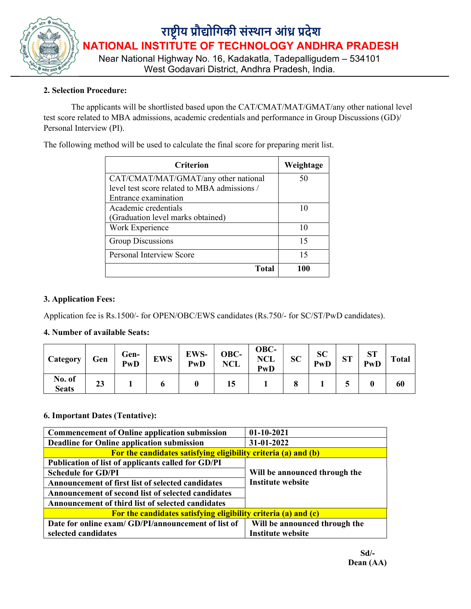

### 2. Selection Procedure:

The applicants will be shortlisted based upon the CAT/CMAT/MAT/GMAT/any other national level test score related to MBA admissions, academic credentials and performance in Group Discussions (GD)/ Personal Interview (PI).

The following method will be used to calculate the final score for preparing merit list.

| <b>Criterion</b>                             | Weightage |  |  |
|----------------------------------------------|-----------|--|--|
| CAT/CMAT/MAT/GMAT/any other national         | 50        |  |  |
| level test score related to MBA admissions / |           |  |  |
| Entrance examination                         |           |  |  |
| Academic credentials                         | 10        |  |  |
| (Graduation level marks obtained)            |           |  |  |
| Work Experience                              | 10        |  |  |
| Group Discussions                            | 15        |  |  |
| <b>Personal Interview Score</b>              | 15        |  |  |
| <b>Total</b>                                 | 100       |  |  |

#### 3. Application Fees:

Application fee is Rs.1500/- for OPEN/OBC/EWS candidates (Rs.750/- for SC/ST/PwD candidates).

#### 4. Number of available Seats:

| Category               | Gen | Gen-<br>PwD | <b>EWS</b> | EWS-<br>PwD | OBC-<br><b>NCL</b> | OBC-<br><b>NCL</b><br>PwD | <b>SC</b> | <b>SC</b><br>PwD | $\alpha$ T<br>$\mathbf{51}$ | $\alpha$ T<br>ØІ<br>PwD | <b>Total</b> |
|------------------------|-----|-------------|------------|-------------|--------------------|---------------------------|-----------|------------------|-----------------------------|-------------------------|--------------|
| No. of<br><b>Seats</b> | 23  |             |            |             | 15                 |                           |           |                  |                             |                         | 60           |

### 6. Important Dates (Tentative):

| <b>Commencement of Online application submission</b>           | $01-10-2021$                                              |  |  |  |  |
|----------------------------------------------------------------|-----------------------------------------------------------|--|--|--|--|
| Deadline for Online application submission                     | 31-01-2022                                                |  |  |  |  |
| For the candidates satisfying eligibility criteria (a) and (b) |                                                           |  |  |  |  |
| Publication of list of applicants called for GD/PI             |                                                           |  |  |  |  |
| <b>Schedule for GD/PI</b>                                      | Will be announced through the<br><b>Institute website</b> |  |  |  |  |
| Announcement of first list of selected candidates              |                                                           |  |  |  |  |
| Announcement of second list of selected candidates             |                                                           |  |  |  |  |
| Announcement of third list of selected candidates              |                                                           |  |  |  |  |
| For the candidates satisfying eligibility criteria (a) and (c) |                                                           |  |  |  |  |
| Date for online exam/ GD/PI/announcement of list of            | Will be announced through the                             |  |  |  |  |
| selected candidates                                            | <b>Institute website</b>                                  |  |  |  |  |